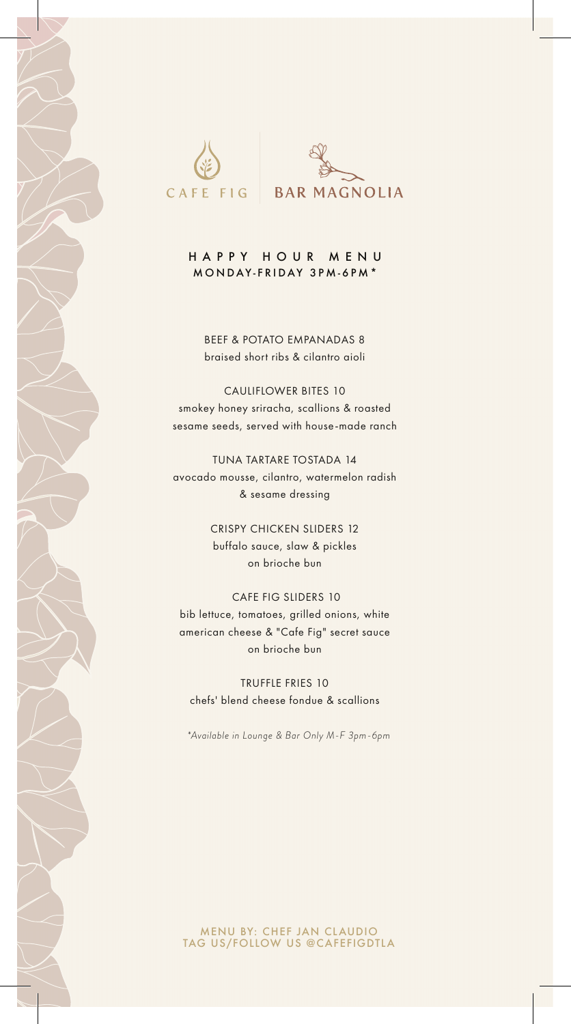

### HAPPY HOUR MENU MONDAY-FRIDAY 3PM-6PM\*

BEEF & POTATO EMPANADAS 8 braised short ribs & cilantro aioli

### CAULIFLOWER BITES 10

smokey honey sriracha, scallions & roasted sesame seeds, served with house-made ranch

# TUNA TARTARE TOSTADA 14

avocado mousse, cilantro, watermelon radish & sesame dressing

> CRISPY CHICKEN SLIDERS 12 buffalo sauce, slaw & pickles on brioche bun

## CAFE FIG SLIDERS 10 bib lettuce, tomatoes, grilled onions, white american cheese & "Cafe Fig" secret sauce on brioche bun

TRUFFLE FRIES 10 chefs' blend cheese fondue & scallions

*\*Available in Lounge & Bar Only M-F 3pm-6pm* 

#### MENU BY: CHEF JAN CLAUDIO TAG US/FOLLOW US @CAFEFIGDTLA